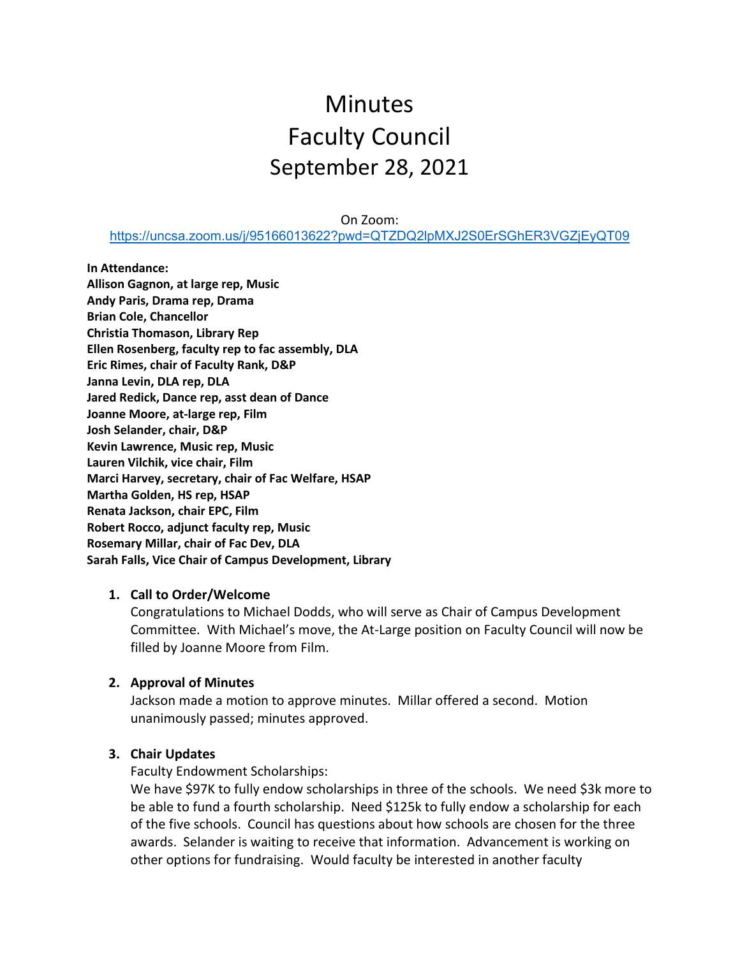# Minutes Faculty Council September 28, 2021

On Zoom:

<https://uncsa.zoom.us/j/95166013622?pwd=QTZDQ2lpMXJ2S0ErSGhER3VGZjEyQT09>

**In Attendance: Allison Gagnon, at large rep, Music Andy Paris, Drama rep, Drama Brian Cole, Chancellor Christia Thomason, Library Rep Ellen Rosenberg, faculty rep to fac assembly, DLA Eric Rimes, chair of Faculty Rank, D&P Janna Levin, DLA rep, DLA Jared Redick, Dance rep, asst dean of Dance Joanne Moore, at-large rep, Film Josh Selander, chair, D&P Kevin Lawrence, Music rep, Music Lauren Vilchik, vice chair, Film Marci Harvey, secretary, chair of Fac Welfare, HSAP Martha Golden, HS rep, HSAP Renata Jackson, chair EPC, Film Robert Rocco, adjunct faculty rep, Music Rosemary Millar, chair of Fac Dev, DLA Sarah Falls, Vice Chair of Campus Development, Library**

## **1. Call to Order/Welcome**

Congratulations to Michael Dodds, who will serve as Chair of Campus Development Committee. With Michael's move, the At-Large position on Faculty Council will now be filled by Joanne Moore from Film.

## **2. Approval of Minutes**

Jackson made a motion to approve minutes. Millar offered a second. Motion unanimously passed; minutes approved.

#### **3. Chair Updates**

Faculty Endowment Scholarships:

We have \$97K to fully endow scholarships in three of the schools. We need \$3k more to be able to fund a fourth scholarship. Need \$125k to fully endow a scholarship for each of the five schools. Council has questions about how schools are chosen for the three awards. Selander is waiting to receive that information. Advancement is working on other options for fundraising. Would faculty be interested in another faculty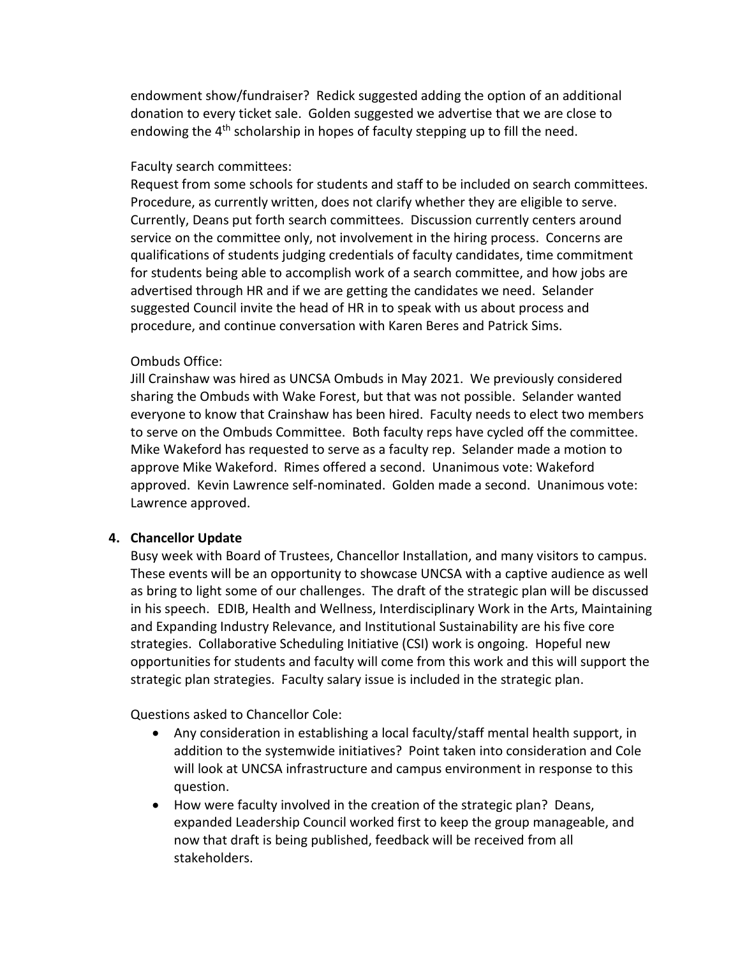endowment show/fundraiser? Redick suggested adding the option of an additional donation to every ticket sale. Golden suggested we advertise that we are close to endowing the 4<sup>th</sup> scholarship in hopes of faculty stepping up to fill the need.

## Faculty search committees:

Request from some schools for students and staff to be included on search committees. Procedure, as currently written, does not clarify whether they are eligible to serve. Currently, Deans put forth search committees. Discussion currently centers around service on the committee only, not involvement in the hiring process. Concerns are qualifications of students judging credentials of faculty candidates, time commitment for students being able to accomplish work of a search committee, and how jobs are advertised through HR and if we are getting the candidates we need. Selander suggested Council invite the head of HR in to speak with us about process and procedure, and continue conversation with Karen Beres and Patrick Sims.

# Ombuds Office:

Jill Crainshaw was hired as UNCSA Ombuds in May 2021. We previously considered sharing the Ombuds with Wake Forest, but that was not possible. Selander wanted everyone to know that Crainshaw has been hired. Faculty needs to elect two members to serve on the Ombuds Committee. Both faculty reps have cycled off the committee. Mike Wakeford has requested to serve as a faculty rep. Selander made a motion to approve Mike Wakeford. Rimes offered a second. Unanimous vote: Wakeford approved. Kevin Lawrence self-nominated. Golden made a second. Unanimous vote: Lawrence approved.

## **4. Chancellor Update**

Busy week with Board of Trustees, Chancellor Installation, and many visitors to campus. These events will be an opportunity to showcase UNCSA with a captive audience as well as bring to light some of our challenges. The draft of the strategic plan will be discussed in his speech. EDIB, Health and Wellness, Interdisciplinary Work in the Arts, Maintaining and Expanding Industry Relevance, and Institutional Sustainability are his five core strategies. Collaborative Scheduling Initiative (CSI) work is ongoing. Hopeful new opportunities for students and faculty will come from this work and this will support the strategic plan strategies. Faculty salary issue is included in the strategic plan.

Questions asked to Chancellor Cole:

- Any consideration in establishing a local faculty/staff mental health support, in addition to the systemwide initiatives? Point taken into consideration and Cole will look at UNCSA infrastructure and campus environment in response to this question.
- How were faculty involved in the creation of the strategic plan? Deans, expanded Leadership Council worked first to keep the group manageable, and now that draft is being published, feedback will be received from all stakeholders.